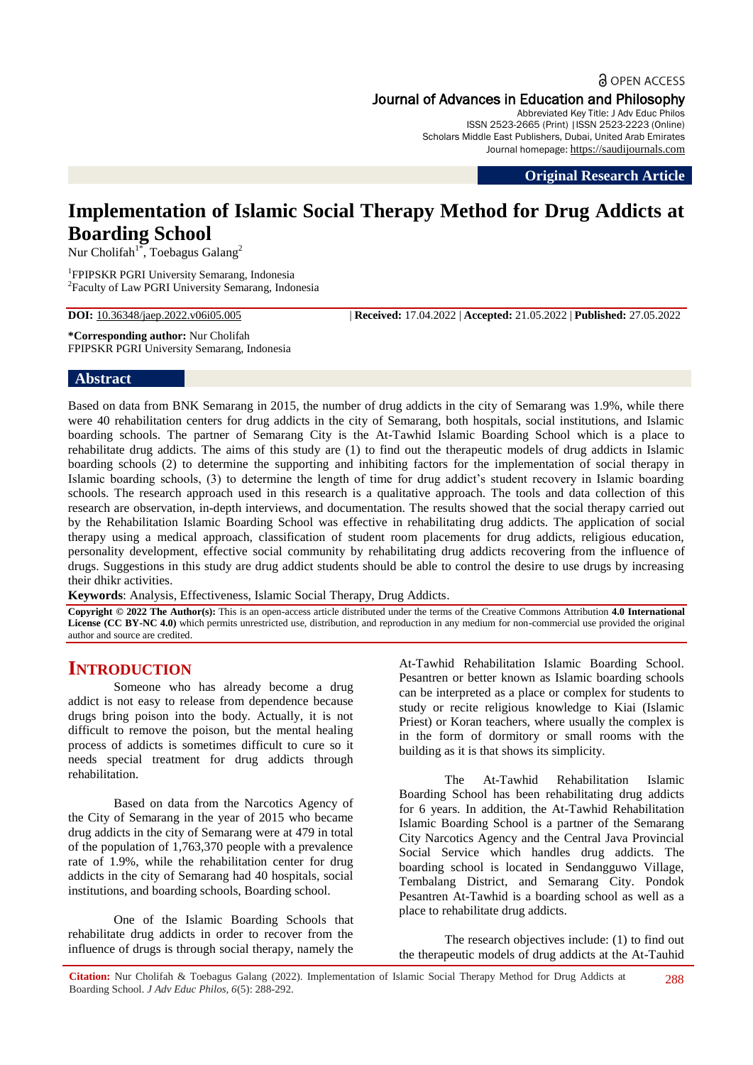**a** OPEN ACCESS Journal of Advances in Education and Philosophy

Abbreviated Key Title: J Adv Educ Philos ISSN 2523-2665 (Print) |ISSN 2523-2223 (Online) Scholars Middle East Publishers, Dubai, United Arab Emirates Journal homepage: [https://saudijournals.com](https://saudijournals.com/jaep)

**Original Research Article**

# **Implementation of Islamic Social Therapy Method for Drug Addicts at Boarding School**

Nur Cholifah<sup>1\*</sup>, Toebagus Galang<sup>2</sup>

1 FPIPSKR PGRI University Semarang, Indonesia 2 Faculty of Law PGRI University Semarang, Indonesia

**DOI:** 10.36348/jaep.2022.v06i05.005 | **Received:** 17.04.2022 | **Accepted:** 21.05.2022 | **Published:** 27.05.2022

**\*Corresponding author:** Nur Cholifah FPIPSKR PGRI University Semarang, Indonesia

#### **Abstract**

Based on data from BNK Semarang in 2015, the number of drug addicts in the city of Semarang was 1.9%, while there were 40 rehabilitation centers for drug addicts in the city of Semarang, both hospitals, social institutions, and Islamic boarding schools. The partner of Semarang City is the At-Tawhid Islamic Boarding School which is a place to rehabilitate drug addicts. The aims of this study are (1) to find out the therapeutic models of drug addicts in Islamic boarding schools (2) to determine the supporting and inhibiting factors for the implementation of social therapy in Islamic boarding schools, (3) to determine the length of time for drug addict's student recovery in Islamic boarding schools. The research approach used in this research is a qualitative approach. The tools and data collection of this research are observation, in-depth interviews, and documentation. The results showed that the social therapy carried out by the Rehabilitation Islamic Boarding School was effective in rehabilitating drug addicts. The application of social therapy using a medical approach, classification of student room placements for drug addicts, religious education, personality development, effective social community by rehabilitating drug addicts recovering from the influence of drugs. Suggestions in this study are drug addict students should be able to control the desire to use drugs by increasing their dhikr activities.

**Keywords**: Analysis, Effectiveness, Islamic Social Therapy, Drug Addicts.

**Copyright © 2022 The Author(s):** This is an open-access article distributed under the terms of the Creative Commons Attribution **4.0 International License (CC BY-NC 4.0)** which permits unrestricted use, distribution, and reproduction in any medium for non-commercial use provided the original author and source are credited.

## **INTRODUCTION**

Someone who has already become a drug addict is not easy to release from dependence because drugs bring poison into the body. Actually, it is not difficult to remove the poison, but the mental healing process of addicts is sometimes difficult to cure so it needs special treatment for drug addicts through rehabilitation.

Based on data from the Narcotics Agency of the City of Semarang in the year of 2015 who became drug addicts in the city of Semarang were at 479 in total of the population of 1,763,370 people with a prevalence rate of 1.9%, while the rehabilitation center for drug addicts in the city of Semarang had 40 hospitals, social institutions, and boarding schools, Boarding school.

One of the Islamic Boarding Schools that rehabilitate drug addicts in order to recover from the influence of drugs is through social therapy, namely the

At-Tawhid Rehabilitation Islamic Boarding School. Pesantren or better known as Islamic boarding schools can be interpreted as a place or complex for students to study or recite religious knowledge to Kiai (Islamic Priest) or Koran teachers, where usually the complex is in the form of dormitory or small rooms with the building as it is that shows its simplicity.

The At-Tawhid Rehabilitation Islamic Boarding School has been rehabilitating drug addicts for 6 years. In addition, the At-Tawhid Rehabilitation Islamic Boarding School is a partner of the Semarang City Narcotics Agency and the Central Java Provincial Social Service which handles drug addicts. The boarding school is located in Sendangguwo Village, Tembalang District, and Semarang City. Pondok Pesantren At-Tawhid is a boarding school as well as a place to rehabilitate drug addicts.

The research objectives include: (1) to find out the therapeutic models of drug addicts at the At-Tauhid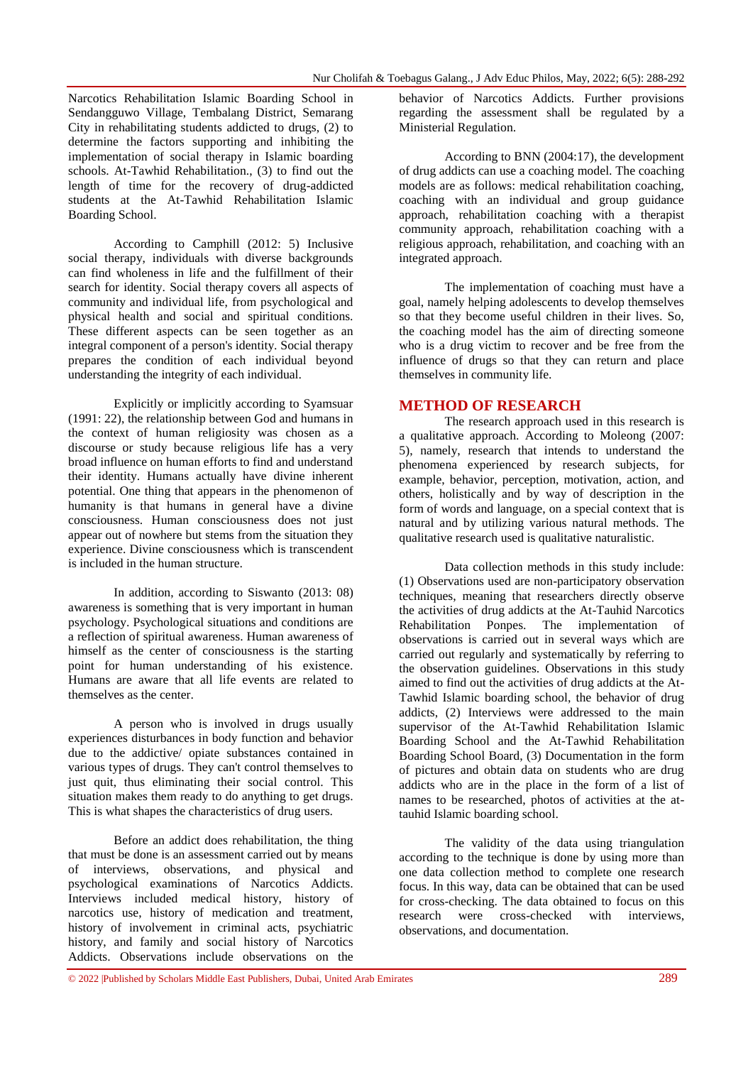Narcotics Rehabilitation Islamic Boarding School in Sendangguwo Village, Tembalang District, Semarang City in rehabilitating students addicted to drugs, (2) to determine the factors supporting and inhibiting the implementation of social therapy in Islamic boarding schools. At-Tawhid Rehabilitation., (3) to find out the length of time for the recovery of drug-addicted students at the At-Tawhid Rehabilitation Islamic Boarding School.

According to Camphill (2012: 5) Inclusive social therapy, individuals with diverse backgrounds can find wholeness in life and the fulfillment of their search for identity. Social therapy covers all aspects of community and individual life, from psychological and physical health and social and spiritual conditions. These different aspects can be seen together as an integral component of a person's identity. Social therapy prepares the condition of each individual beyond understanding the integrity of each individual.

Explicitly or implicitly according to Syamsuar (1991: 22), the relationship between God and humans in the context of human religiosity was chosen as a discourse or study because religious life has a very broad influence on human efforts to find and understand their identity. Humans actually have divine inherent potential. One thing that appears in the phenomenon of humanity is that humans in general have a divine consciousness. Human consciousness does not just appear out of nowhere but stems from the situation they experience. Divine consciousness which is transcendent is included in the human structure.

In addition, according to Siswanto (2013: 08) awareness is something that is very important in human psychology. Psychological situations and conditions are a reflection of spiritual awareness. Human awareness of himself as the center of consciousness is the starting point for human understanding of his existence. Humans are aware that all life events are related to themselves as the center.

A person who is involved in drugs usually experiences disturbances in body function and behavior due to the addictive/ opiate substances contained in various types of drugs. They can't control themselves to just quit, thus eliminating their social control. This situation makes them ready to do anything to get drugs. This is what shapes the characteristics of drug users.

Before an addict does rehabilitation, the thing that must be done is an assessment carried out by means of interviews, observations, and physical and psychological examinations of Narcotics Addicts. Interviews included medical history, history of narcotics use, history of medication and treatment, history of involvement in criminal acts, psychiatric history, and family and social history of Narcotics Addicts. Observations include observations on the

behavior of Narcotics Addicts. Further provisions regarding the assessment shall be regulated by a Ministerial Regulation.

According to BNN (2004:17), the development of drug addicts can use a coaching model. The coaching models are as follows: medical rehabilitation coaching, coaching with an individual and group guidance approach, rehabilitation coaching with a therapist community approach, rehabilitation coaching with a religious approach, rehabilitation, and coaching with an integrated approach.

The implementation of coaching must have a goal, namely helping adolescents to develop themselves so that they become useful children in their lives. So, the coaching model has the aim of directing someone who is a drug victim to recover and be free from the influence of drugs so that they can return and place themselves in community life.

#### **METHOD OF RESEARCH**

The research approach used in this research is a qualitative approach. According to Moleong (2007: 5), namely, research that intends to understand the phenomena experienced by research subjects, for example, behavior, perception, motivation, action, and others, holistically and by way of description in the form of words and language, on a special context that is natural and by utilizing various natural methods. The qualitative research used is qualitative naturalistic.

Data collection methods in this study include: (1) Observations used are non-participatory observation techniques, meaning that researchers directly observe the activities of drug addicts at the At-Tauhid Narcotics Rehabilitation Ponpes. The implementation of observations is carried out in several ways which are carried out regularly and systematically by referring to the observation guidelines. Observations in this study aimed to find out the activities of drug addicts at the At-Tawhid Islamic boarding school, the behavior of drug addicts, (2) Interviews were addressed to the main supervisor of the At-Tawhid Rehabilitation Islamic Boarding School and the At-Tawhid Rehabilitation Boarding School Board, (3) Documentation in the form of pictures and obtain data on students who are drug addicts who are in the place in the form of a list of names to be researched, photos of activities at the attauhid Islamic boarding school.

The validity of the data using triangulation according to the technique is done by using more than one data collection method to complete one research focus. In this way, data can be obtained that can be used for cross-checking. The data obtained to focus on this research were cross-checked with interviews, observations, and documentation.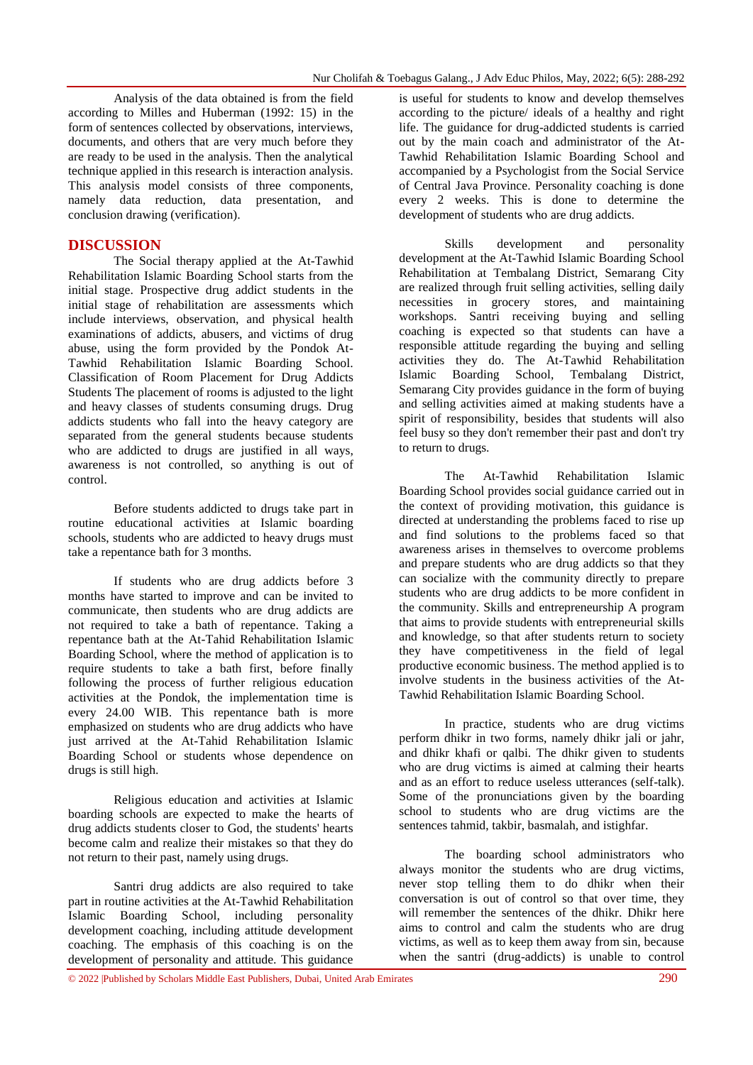Analysis of the data obtained is from the field according to Milles and Huberman (1992: 15) in the form of sentences collected by observations, interviews, documents, and others that are very much before they are ready to be used in the analysis. Then the analytical technique applied in this research is interaction analysis. This analysis model consists of three components, namely data reduction, data presentation, and conclusion drawing (verification).

#### **DISCUSSION**

The Social therapy applied at the At-Tawhid Rehabilitation Islamic Boarding School starts from the initial stage. Prospective drug addict students in the initial stage of rehabilitation are assessments which include interviews, observation, and physical health examinations of addicts, abusers, and victims of drug abuse, using the form provided by the Pondok At-Tawhid Rehabilitation Islamic Boarding School. Classification of Room Placement for Drug Addicts Students The placement of rooms is adjusted to the light and heavy classes of students consuming drugs. Drug addicts students who fall into the heavy category are separated from the general students because students who are addicted to drugs are justified in all ways, awareness is not controlled, so anything is out of control.

Before students addicted to drugs take part in routine educational activities at Islamic boarding schools, students who are addicted to heavy drugs must take a repentance bath for 3 months.

If students who are drug addicts before 3 months have started to improve and can be invited to communicate, then students who are drug addicts are not required to take a bath of repentance. Taking a repentance bath at the At-Tahid Rehabilitation Islamic Boarding School, where the method of application is to require students to take a bath first, before finally following the process of further religious education activities at the Pondok, the implementation time is every 24.00 WIB. This repentance bath is more emphasized on students who are drug addicts who have just arrived at the At-Tahid Rehabilitation Islamic Boarding School or students whose dependence on drugs is still high.

Religious education and activities at Islamic boarding schools are expected to make the hearts of drug addicts students closer to God, the students' hearts become calm and realize their mistakes so that they do not return to their past, namely using drugs.

Santri drug addicts are also required to take part in routine activities at the At-Tawhid Rehabilitation Islamic Boarding School, including personality development coaching, including attitude development coaching. The emphasis of this coaching is on the development of personality and attitude. This guidance

is useful for students to know and develop themselves according to the picture/ ideals of a healthy and right life. The guidance for drug-addicted students is carried out by the main coach and administrator of the At-Tawhid Rehabilitation Islamic Boarding School and accompanied by a Psychologist from the Social Service of Central Java Province. Personality coaching is done every 2 weeks. This is done to determine the development of students who are drug addicts.

Skills development and personality development at the At-Tawhid Islamic Boarding School Rehabilitation at Tembalang District, Semarang City are realized through fruit selling activities, selling daily necessities in grocery stores, and maintaining workshops. Santri receiving buying and selling coaching is expected so that students can have a responsible attitude regarding the buying and selling activities they do. The At-Tawhid Rehabilitation Islamic Boarding School, Tembalang District, Semarang City provides guidance in the form of buying and selling activities aimed at making students have a spirit of responsibility, besides that students will also feel busy so they don't remember their past and don't try to return to drugs.

The At-Tawhid Rehabilitation Islamic Boarding School provides social guidance carried out in the context of providing motivation, this guidance is directed at understanding the problems faced to rise up and find solutions to the problems faced so that awareness arises in themselves to overcome problems and prepare students who are drug addicts so that they can socialize with the community directly to prepare students who are drug addicts to be more confident in the community. Skills and entrepreneurship A program that aims to provide students with entrepreneurial skills and knowledge, so that after students return to society they have competitiveness in the field of legal productive economic business. The method applied is to involve students in the business activities of the At-Tawhid Rehabilitation Islamic Boarding School.

In practice, students who are drug victims perform dhikr in two forms, namely dhikr jali or jahr, and dhikr khafi or qalbi. The dhikr given to students who are drug victims is aimed at calming their hearts and as an effort to reduce useless utterances (self-talk). Some of the pronunciations given by the boarding school to students who are drug victims are the sentences tahmid, takbir, basmalah, and istighfar.

The boarding school administrators who always monitor the students who are drug victims, never stop telling them to do dhikr when their conversation is out of control so that over time, they will remember the sentences of the dhikr. Dhikr here aims to control and calm the students who are drug victims, as well as to keep them away from sin, because when the santri (drug-addicts) is unable to control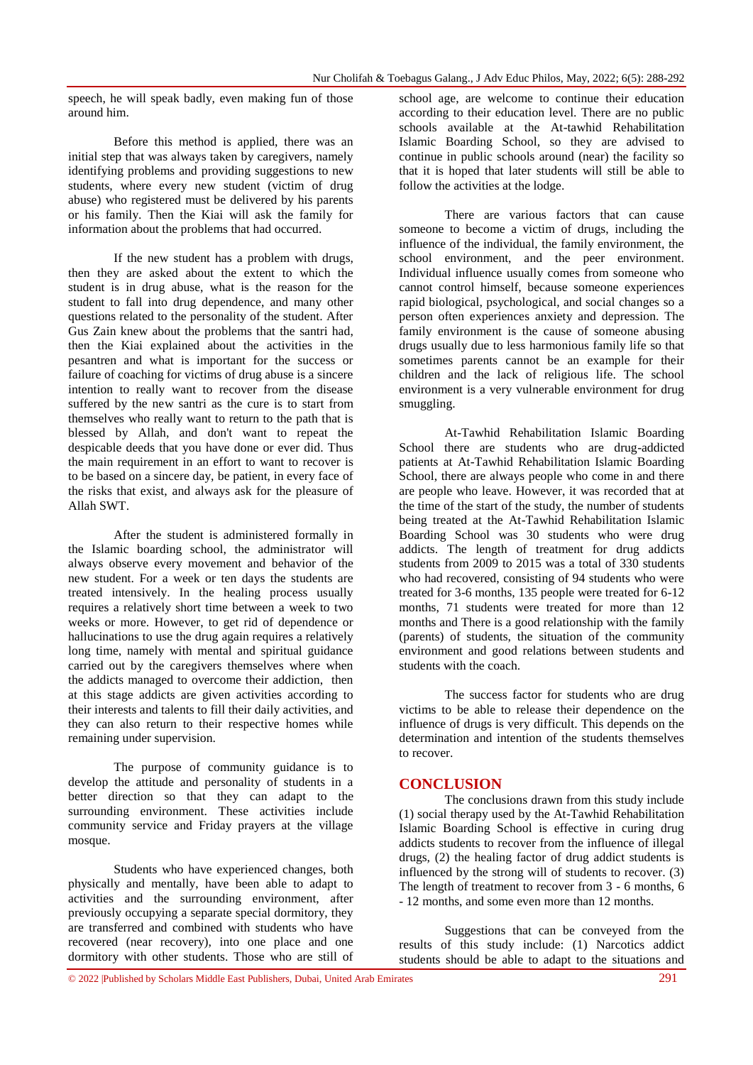speech, he will speak badly, even making fun of those around him.

Before this method is applied, there was an initial step that was always taken by caregivers, namely identifying problems and providing suggestions to new students, where every new student (victim of drug abuse) who registered must be delivered by his parents or his family. Then the Kiai will ask the family for information about the problems that had occurred.

If the new student has a problem with drugs, then they are asked about the extent to which the student is in drug abuse, what is the reason for the student to fall into drug dependence, and many other questions related to the personality of the student. After Gus Zain knew about the problems that the santri had, then the Kiai explained about the activities in the pesantren and what is important for the success or failure of coaching for victims of drug abuse is a sincere intention to really want to recover from the disease suffered by the new santri as the cure is to start from themselves who really want to return to the path that is blessed by Allah, and don't want to repeat the despicable deeds that you have done or ever did. Thus the main requirement in an effort to want to recover is to be based on a sincere day, be patient, in every face of the risks that exist, and always ask for the pleasure of Allah SWT.

After the student is administered formally in the Islamic boarding school, the administrator will always observe every movement and behavior of the new student. For a week or ten days the students are treated intensively. In the healing process usually requires a relatively short time between a week to two weeks or more. However, to get rid of dependence or hallucinations to use the drug again requires a relatively long time, namely with mental and spiritual guidance carried out by the caregivers themselves where when the addicts managed to overcome their addiction, then at this stage addicts are given activities according to their interests and talents to fill their daily activities, and they can also return to their respective homes while remaining under supervision.

The purpose of community guidance is to develop the attitude and personality of students in a better direction so that they can adapt to the surrounding environment. These activities include community service and Friday prayers at the village mosque.

Students who have experienced changes, both physically and mentally, have been able to adapt to activities and the surrounding environment, after previously occupying a separate special dormitory, they are transferred and combined with students who have recovered (near recovery), into one place and one dormitory with other students. Those who are still of

school age, are welcome to continue their education according to their education level. There are no public schools available at the At-tawhid Rehabilitation Islamic Boarding School, so they are advised to continue in public schools around (near) the facility so that it is hoped that later students will still be able to follow the activities at the lodge.

There are various factors that can cause someone to become a victim of drugs, including the influence of the individual, the family environment, the school environment, and the peer environment. Individual influence usually comes from someone who cannot control himself, because someone experiences rapid biological, psychological, and social changes so a person often experiences anxiety and depression. The family environment is the cause of someone abusing drugs usually due to less harmonious family life so that sometimes parents cannot be an example for their children and the lack of religious life. The school environment is a very vulnerable environment for drug smuggling.

At-Tawhid Rehabilitation Islamic Boarding School there are students who are drug-addicted patients at At-Tawhid Rehabilitation Islamic Boarding School, there are always people who come in and there are people who leave. However, it was recorded that at the time of the start of the study, the number of students being treated at the At-Tawhid Rehabilitation Islamic Boarding School was 30 students who were drug addicts. The length of treatment for drug addicts students from 2009 to 2015 was a total of 330 students who had recovered, consisting of 94 students who were treated for 3-6 months, 135 people were treated for 6-12 months, 71 students were treated for more than 12 months and There is a good relationship with the family (parents) of students, the situation of the community environment and good relations between students and students with the coach.

The success factor for students who are drug victims to be able to release their dependence on the influence of drugs is very difficult. This depends on the determination and intention of the students themselves to recover.

#### **CONCLUSION**

The conclusions drawn from this study include (1) social therapy used by the At-Tawhid Rehabilitation Islamic Boarding School is effective in curing drug addicts students to recover from the influence of illegal drugs, (2) the healing factor of drug addict students is influenced by the strong will of students to recover. (3) The length of treatment to recover from 3 - 6 months, 6 - 12 months, and some even more than 12 months.

Suggestions that can be conveyed from the results of this study include: (1) Narcotics addict students should be able to adapt to the situations and